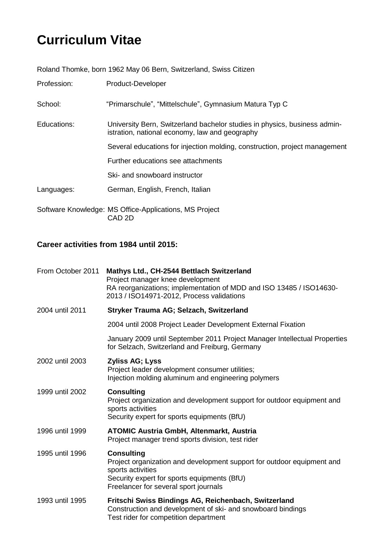## **Curriculum Vitae**

Roland Thomke, born 1962 May 06 Bern, Switzerland, Swiss Citizen

Profession: Product-Developer

School: "Primarschule", "Mittelschule", Gymnasium Matura Typ C

Educations: University Bern, Switzerland bachelor studies in physics, business administration, national economy, law and geography Several educations for injection molding, construction, project management Further educations see attachments Ski- and snowboard instructor

Languages: German, English, French, Italian

Software Knowledge: MS Office-Applications, MS Project CAD 2D

## **Career activities from 1984 until 2015:**

| From October 2011 | Mathys Ltd., CH-2544 Bettlach Switzerland<br>Project manager knee development<br>RA reorganizations; implementation of MDD and ISO 13485 / ISO14630-<br>2013 / ISO14971-2012, Process validations        |
|-------------------|----------------------------------------------------------------------------------------------------------------------------------------------------------------------------------------------------------|
| 2004 until 2011   | Stryker Trauma AG; Selzach, Switzerland                                                                                                                                                                  |
|                   | 2004 until 2008 Project Leader Development External Fixation                                                                                                                                             |
|                   | January 2009 until September 2011 Project Manager Intellectual Properties<br>for Selzach, Switzerland and Freiburg, Germany                                                                              |
| 2002 until 2003   | <b>Zyliss AG; Lyss</b><br>Project leader development consumer utilities;<br>Injection molding aluminum and engineering polymers                                                                          |
| 1999 until 2002   | <b>Consulting</b><br>Project organization and development support for outdoor equipment and<br>sports activities<br>Security expert for sports equipments (BfU)                                          |
| 1996 until 1999   | <b>ATOMIC Austria GmbH, Altenmarkt, Austria</b><br>Project manager trend sports division, test rider                                                                                                     |
| 1995 until 1996   | <b>Consulting</b><br>Project organization and development support for outdoor equipment and<br>sports activities<br>Security expert for sports equipments (BfU)<br>Freelancer for several sport journals |
| 1993 until 1995   | Fritschi Swiss Bindings AG, Reichenbach, Switzerland<br>Construction and development of ski- and snowboard bindings<br>Test rider for competition department                                             |